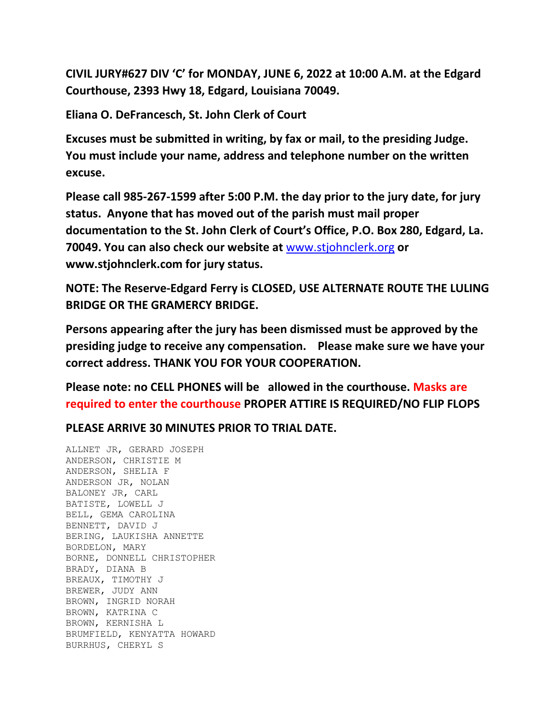**CIVIL JURY#627 DIV 'C' for MONDAY, JUNE 6, 2022 at 10:00 A.M. at the Edgard Courthouse, 2393 Hwy 18, Edgard, Louisiana 70049.**

**Eliana O. DeFrancesch, St. John Clerk of Court**

**Excuses must be submitted in writing, by fax or mail, to the presiding Judge. You must include your name, address and telephone number on the written excuse.**

**Please call 985-267-1599 after 5:00 P.M. the day prior to the jury date, for jury status. Anyone that has moved out of the parish must mail proper documentation to the St. John Clerk of Court's Office, P.O. Box 280, Edgard, La. 70049. You can also check our website at** [www.stjohnclerk.org](http://www.stjohnclerk.org/) **or www.stjohnclerk.com for jury status.**

**NOTE: The Reserve-Edgard Ferry is CLOSED, USE ALTERNATE ROUTE THE LULING BRIDGE OR THE GRAMERCY BRIDGE.**

**Persons appearing after the jury has been dismissed must be approved by the presiding judge to receive any compensation. Please make sure we have your correct address. THANK YOU FOR YOUR COOPERATION.**

**Please note: no CELL PHONES will be allowed in the courthouse. Masks are required to enter the courthouse PROPER ATTIRE IS REQUIRED/NO FLIP FLOPS**

**PLEASE ARRIVE 30 MINUTES PRIOR TO TRIAL DATE.**

ALLNET JR, GERARD JOSEPH ANDERSON, CHRISTIE M ANDERSON, SHELIA F ANDERSON JR, NOLAN BALONEY JR, CARL BATISTE, LOWELL J BELL, GEMA CAROLINA BENNETT, DAVID J BERING, LAUKISHA ANNETTE BORDELON, MARY BORNE, DONNELL CHRISTOPHER BRADY, DIANA B BREAUX, TIMOTHY J BREWER, JUDY ANN BROWN, INGRID NORAH BROWN, KATRINA C BROWN, KERNISHA L BRUMFIELD, KENYATTA HOWARD BURRHUS, CHERYL S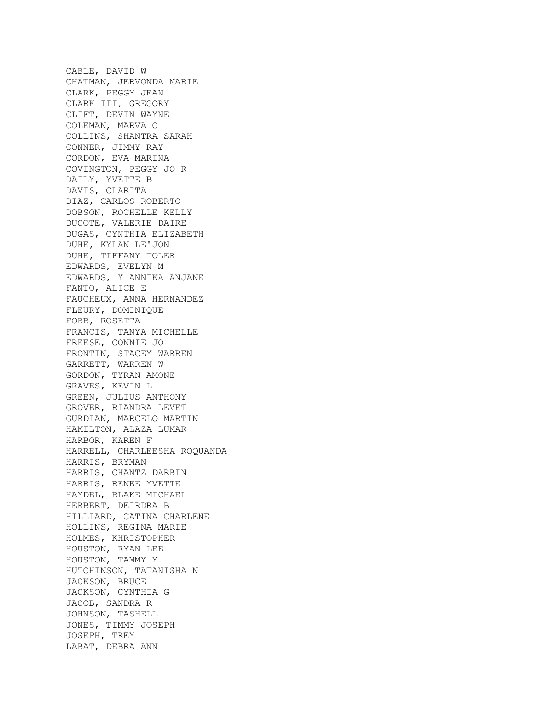CABLE, DAVID W CHATMAN, JERVONDA MARIE CLARK, PEGGY JEAN CLARK III, GREGORY CLIFT, DEVIN WAYNE COLEMAN, MARVA C COLLINS, SHANTRA SARAH CONNER, JIMMY RAY CORDON, EVA MARINA COVINGTON, PEGGY JO R DAILY, YVETTE B DAVIS, CLARITA DIAZ, CARLOS ROBERTO DOBSON, ROCHELLE KELLY DUCOTE, VALERIE DAIRE DUGAS, CYNTHIA ELIZABETH DUHE, KYLAN LE'JON DUHE, TIFFANY TOLER EDWARDS, EVELYN M EDWARDS, Y ANNIKA ANJANE FANTO, ALICE E FAUCHEUX, ANNA HERNANDEZ FLEURY, DOMINIQUE FOBB, ROSETTA FRANCIS, TANYA MICHELLE FREESE, CONNIE JO FRONTIN, STACEY WARREN GARRETT, WARREN W GORDON, TYRAN AMONE GRAVES, KEVIN L GREEN, JULIUS ANTHONY GROVER, RIANDRA LEVET GURDIAN, MARCELO MARTIN HAMILTON, ALAZA LUMAR HARBOR, KAREN F HARRELL, CHARLEESHA ROQUANDA HARRIS, BRYMAN HARRIS, CHANTZ DARBIN HARRIS, RENEE YVETTE HAYDEL, BLAKE MICHAEL HERBERT, DEIRDRA B HILLIARD, CATINA CHARLENE HOLLINS, REGINA MARIE HOLMES, KHRISTOPHER HOUSTON, RYAN LEE HOUSTON, TAMMY Y HUTCHINSON, TATANISHA N JACKSON, BRUCE JACKSON, CYNTHIA G JACOB, SANDRA R JOHNSON, TASHELL JONES, TIMMY JOSEPH JOSEPH, TREY LABAT, DEBRA ANN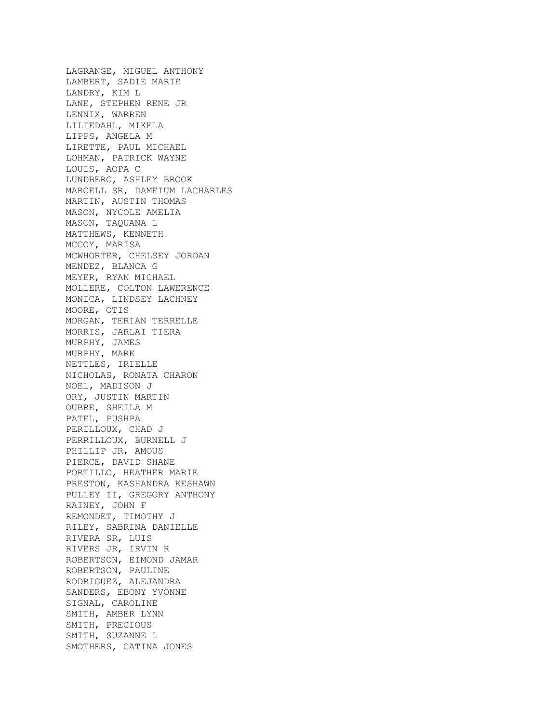LAGRANGE, MIGUEL ANTHONY LAMBERT, SADIE MARIE LANDRY, KIM L LANE, STEPHEN RENE JR LENNIX, WARREN LILIEDAHL, MIKELA LIPPS, ANGELA M LIRETTE, PAUL MICHAEL LOHMAN, PATRICK WAYNE LOUIS, AOPA C LUNDBERG, ASHLEY BROOK MARCELL SR, DAMEIUM LACHARLES MARTIN, AUSTIN THOMAS MASON, NYCOLE AMELIA MASON, TAQUANA L MATTHEWS, KENNETH MCCOY, MARISA MCWHORTER, CHELSEY JORDAN MENDEZ, BLANCA G MEYER, RYAN MICHAEL MOLLERE, COLTON LAWERENCE MONICA, LINDSEY LACHNEY MOORE, OTIS MORGAN, TERIAN TERRELLE MORRIS, JARLAI TIERA MURPHY, JAMES MURPHY, MARK NETTLES, IRIELLE NICHOLAS, RONATA CHARON NOEL, MADISON J ORY, JUSTIN MARTIN OUBRE, SHEILA M PATEL, PUSHPA PERILLOUX, CHAD J PERRILLOUX, BURNELL J PHILLIP JR, AMOUS PIERCE, DAVID SHANE PORTILLO, HEATHER MARIE PRESTON, KASHANDRA KESHAWN PULLEY II, GREGORY ANTHONY RAINEY, JOHN F REMONDET, TIMOTHY J RILEY, SABRINA DANIELLE RIVERA SR, LUIS RIVERS JR, IRVIN R ROBERTSON, EIMOND JAMAR ROBERTSON, PAULINE RODRIGUEZ, ALEJANDRA SANDERS, EBONY YVONNE SIGNAL, CAROLINE SMITH, AMBER LYNN SMITH, PRECIOUS SMITH, SUZANNE L SMOTHERS, CATINA JONES